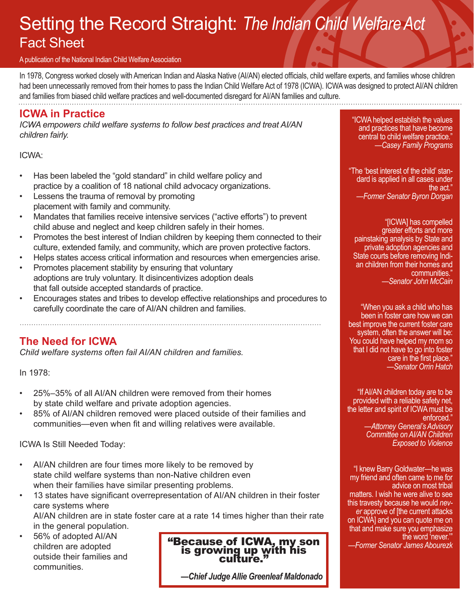## Setting the Record Straight: *The Indian Child Welfare Act* Fact Sheet

#### A publication of the National Indian Child Welfare Association

In 1978, Congress worked closely with American Indian and Alaska Native (AI/AN) elected officials, child welfare experts, and families whose children had been unnecessarily removed from their homes to pass the Indian Child Welfare Act of 1978 (ICWA). ICWA was designed to protect AI/AN children and families from biased child welfare practices and well-documented disregard for AI/AN families and culture.

### **ICWA in Practice**

*ICWA empowers child welfare systems to follow best practices and treat AI/AN children fairly.*

ICWA:

- Has been labeled the "gold standard" in child welfare policy and practice by a coalition of 18 national child advocacy organizations.
- Lessens the trauma of removal by promoting placement with family and community.
- Mandates that families receive intensive services ("active efforts") to prevent child abuse and neglect and keep children safely in their homes.
- Promotes the best interest of Indian children by keeping them connected to their culture, extended family, and community, which are proven protective factors.
- Helps states access critical information and resources when emergencies arise.
- Promotes placement stability by ensuring that voluntary adoptions are truly voluntary. It disincentivizes adoption deals that fall outside accepted standards of practice.
- Encourages states and tribes to develop effective relationships and procedures to carefully coordinate the care of AI/AN children and families.

## **The Need for ICWA**

*Child welfare systems often fail AI/AN children and families.* 

In 1978:

- 25%–35% of all AI/AN children were removed from their homes by state child welfare and private adoption agencies.
- 85% of AI/AN children removed were placed outside of their families and communities—even when fit and willing relatives were available.

ICWA Is Still Needed Today:

- AI/AN children are four times more likely to be removed by state child welfare systems than non-Native children even when their families have similar presenting problems.
- 13 states have significant overrepresentation of AI/AN children in their foster care systems where

AI/AN children are in state foster care at a rate 14 times higher than their rate in the general population.

• 56% of adopted AI/AN children are adopted outside their families and communities.

"Because of ICWA, my son is growing up with his culture."

*—Chief Judge Allie Greenleaf Maldonado*

"ICWA helped establish the values and practices that have become central to child welfare practice." *—Casey Family Programs*

"The 'best interest of the child' standard is applied in all cases under the act." *—Former Senator Byron Dorgan*

"[ICWA] has compelled greater efforts and more painstaking analysis by State and private adoption agencies and State courts before removing Indian children from their homes and communities." *—Senator John McCain*

"When you ask a child who has been in foster care how we can best improve the current foster care system, often the answer will be: You could have helped my mom so that I did not have to go into foster care in the first place." *—Senator Orrin Hatch*

"If AI/AN children today are to be provided with a reliable safety net, the letter and spirit of ICWA must be enforced." *—Attorney General's Advisory Committee on AI/AN Children Exposed to Violence* 

"I knew Barry Goldwater—he was my friend and often came to me for advice on most tribal matters. I wish he were alive to see this travesty because he would *nev- er* approve of [the current attacks on ICWA] and you can quote me on that and make sure you emphasize the word 'never.'"

*—Former Senator James Abourezk*